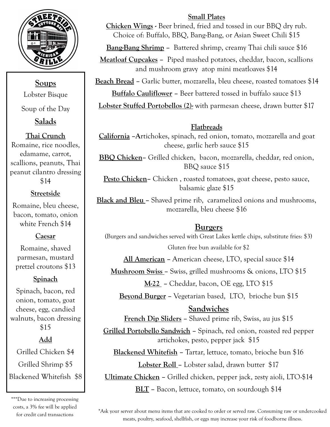

**Soups**  Lobster Bisque

Soup of the Day

**Salads** 

### **Thai Crunch**

Romaine, rice noodles, edamame, carrot, scallions, peanuts, Thai peanut cilantro dressing \$14

#### **Streetside**

Romaine, bleu cheese, bacon, tomato, onion white French \$14

#### **Caesar**

Romaine, shaved parmesan, mustard pretzel croutons \$13

#### **Spinach**

Spinach, bacon, red onion, tomato, goat cheese, egg, candied walnuts, bacon dressing \$15

## **Add**

Grilled Chicken \$4 Grilled Shrimp \$5 Blackened Whitefish \$8

\*\*\*Due to increasing processing costs, a 3% fee will be applied for credit card transactions

#### **Small Plates**

**Chicken Wings -** Beer brined, fried and tossed in our BBQ dry rub. Choice of: Buffalo, BBQ, Bang-Bang, or Asian Sweet Chili \$15

**Bang-Bang Shrimp –** Battered shrimp, creamy Thai chili sauce \$16

**Meatloaf Cupcakes –** Piped mashed potatoes, cheddar, bacon, scallions and mushroom gravy atop mini meatloaves \$14

**Beach Bread –** Garlic butter, mozzarella, bleu cheese, roasted tomatoes \$14 **Buffalo Cauliflower –** Beer battered tossed in buffalo sauce \$13

**Lobster Stuffed Portobellos (2)-** with parmesan cheese, drawn butter \$17

## **Flatbreads**

**California –A**rtichokes, spinach, red onion, tomato, mozzarella and goat cheese, garlic herb sauce \$15

**BBQ Chicken–** Grilled chicken, bacon, mozzarella, cheddar, red onion, BBQ sauce \$15

**Pesto Chicken–** Chicken , roasted tomatoes, goat cheese, pesto sauce, balsamic glaze \$15

**Black and Bleu –** Shaved prime rib, caramelized onions and mushrooms, mozzarella, bleu cheese \$16

#### **Burgers**

(Burgers and sandwiches served with Great Lakes kettle chips, substitute fries: \$3) Gluten free bun available for \$2

**All American –** American cheese, LTO, special sauce \$14

**Mushroom Swiss –** Swiss, grilled mushrooms & onions, LTO \$15

**M-22 –** Cheddar, bacon, OE egg, LTO \$15

**Beyond Burger –** Vegetarian based, LTO, brioche bun \$15

#### **Sandwiches**

**French Dip Sliders –** Shaved prime rib, Swiss, au jus \$15

**Grilled Portobello Sandwich –** Spinach, red onion, roasted red pepper artichokes, pesto, pepper jack \$15

**Blackened Whitefish –** Tartar, lettuce, tomato, brioche bun \$16 **Lobster Roll –** Lobster salad, drawn butter \$17

**Ultimate Chicken –** Grilled chicken, pepper jack, zesty aioli, LTO-\$14

**BLT –** Bacon, lettuce, tomato, on sourdough \$14

\*Ask your server about menu items that are cooked to order or served raw. Consuming raw or undercooked meats, poultry, seafood, shellfish, or eggs may increase your risk of foodborne illness.